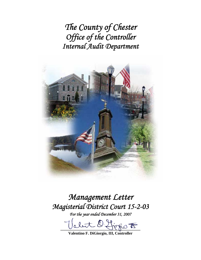*The County of Chester Office of the Controller Internal Audit Department* 



# *Management Letter Magisterial District Court 15-2-03*

*For the year ended December 31, 2007* 

abut D. firsio F

**Valentino F. DiGiorgio, III, Controller**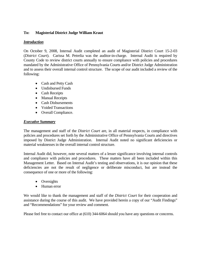## **To: Magisterial District Judge William Kraut**

## *Introduction*

On October 9, 2008, Internal Audit completed an audit of Magisterial District Court 15-2-03 (*District Court*). Carissa M. Petrelia was the auditor-in-charge. Internal Audit is required by County Code to review district courts annually to ensure compliance with policies and procedures mandated by the Administrative Office of Pennsylvania Courts and/or District Judge Administration and to assess their overall internal control structure. The scope of our audit included a review of the following:

- Cash and Petty Cash
- Undisbursed Funds
- Cash Receipts
- Manual Receipts
- Cash Disbursements
- Voided Transactions
- Overall Compliance.

## *Executive Summary*

The management and staff of the *District Court* are, in all material respects, in compliance with policies and procedures set forth by the Administrative Office of Pennsylvania Courts and directives imposed by District Judge Administration. Internal Audit noted no significant deficiencies or material weaknesses in the overall internal control structure.

Internal Audit did, however, note several matters of a lesser significance involving internal controls and compliance with policies and procedures. These matters have all been included within this Management Letter. Based on Internal Audit's testing and observations, it is our opinion that these deficiencies are not the result of negligence or deliberate misconduct, but are instead the consequence of one or more of the following:

- Oversights
- Human error

We would like to thank the management and staff of the *District Court* for their cooperation and assistance during the course of this audit. We have provided herein a copy of our "Audit Findings" and "Recommendations" for your review and comment.

Please feel free to contact our office at (610) 344-6064 should you have any questions or concerns.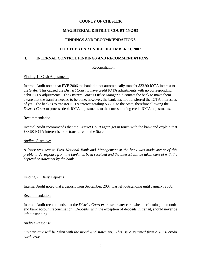## **MAGISTERIAL DISTRICT COURT 15-2-03**

## **FINDINGS AND RECOMMENDATIONS**

## **FOR THE YEAR ENDED DECEMBER 31, 2007**

## **I. INTERNAL CONTROL FINDINGS AND RECOMMENDATIONS**

#### Reconciliation

#### Finding 1: Cash Adjustments

Internal Audit noted that FYE 2006 the bank did not automatically transfer \$33.90 IOTA interest to the State. This caused the *District Court* to have credit IOTA adjustments with no corresponding debit IOTA adjustments. The *District Court's* Office Manger did contact the bank to make them aware that the transfer needed to be done, however, the bank has not transferred the IOTA interest as of yet. The bank is to transfer IOTA interest totaling \$33.90 to the State, therefore allowing the *District Court* to process debit IOTA adjustments to the corresponding credit IOTA adjustments.

#### Recommendation

Internal Audit recommends that the *District Court* again get in touch with the bank and explain that \$33.90 IOTA interest is to be transferred to the State.

#### *Auditee Response*

*A letter was sent to First National Bank and Management at the bank was made aware of this problem. A response from the bank has been received and the interest will be taken care of with the September statement by the bank.* 

#### Finding 2: Daily Deposits

Internal Audit noted that a deposit from September, 2007 was left outstanding until January, 2008.

#### Recommendation

Internal Audit recommends that the *District Court* exercise greater care when performing the monthend bank account reconciliation. Deposits, with the exception of deposits in transit, should never be left outstanding.

#### *Auditee Response*

*Greater care will be taken with the month-end statement. This issue stemmed from a \$0.50 credit card error.*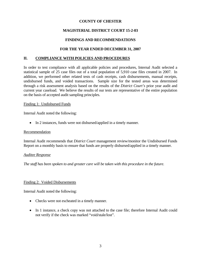## **MAGISTERIAL DISTRICT COURT 15-2-03**

## **FINDINGS AND RECOMMENDATIONS**

## **FOR THE YEAR ENDED DECEMBER 31, 2007**

## **II. COMPLIANCE WITH POLICIES AND PROCEDURES**

In order to test compliance with all applicable policies and procedures, Internal Audit selected a statistical sample of 25 case files out of a total population of 5,910 case files created in 2007. In addition, we performed other related tests of cash receipts, cash disbursements, manual receipts, undisbursed funds, and voided transactions. Sample size for the tested areas was determined through a risk assessment analysis based on the results of the *District Court's* prior year audit and current year caseload. We believe the results of our tests are representative of the entire population on the basis of accepted audit sampling principles.

#### Finding 1: Undisbursed Funds

Internal Audit noted the following:

• In 2 instances, funds were not disbursed/applied in a timely manner.

#### Recommendation

Internal Audit recommends that *District Court* management review/monitor the Undisbursed Funds Report on a monthly basis to ensure that funds are properly disbursed/applied in a timely manner.

#### *Auditee Response*

*The staff has been spoken to and greater care will be taken with this procedure in the future.* 

#### Finding 2: Voided Disbursements

Internal Audit noted the following:

- Checks were not escheated in a timely manner.
- In 1 instance, a check copy was not attached to the case file; therefore Internal Audit could not verify if the check was marked "void/stale/lost".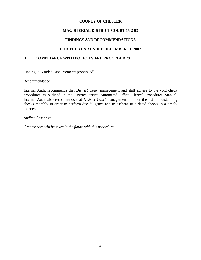## **MAGISTERIAL DISTRICT COURT 15-2-03**

## **FINDINGS AND RECOMMENDATIONS**

## **FOR THE YEAR ENDED DECEMBER 31, 2007**

## **II. COMPLIANCE WITH POLICIES AND PROCEDURES**

Finding 2: Voided Disbursements (continued)

#### Recommendation

Internal Audit recommends that *District Court* management and staff adhere to the void check procedures as outlined in the District Justice Automated Office Clerical Procedures Manual. Internal Audit also recommends that *District Court* management monitor the list of outstanding checks monthly in order to perform due diligence and to escheat stale dated checks in a timely manner.

#### *Auditee Response*

*Greater care will be taken in the future with this procedure.*